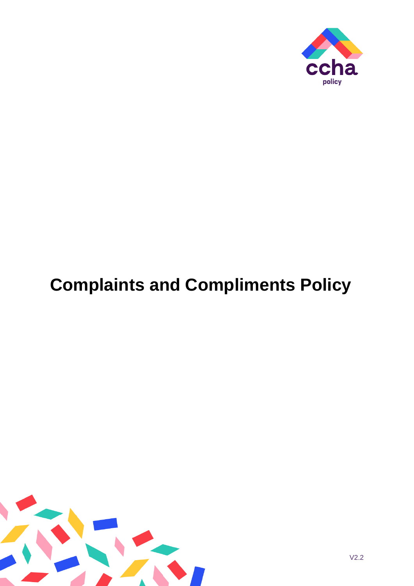

# **Complaints and Compliments Policy**

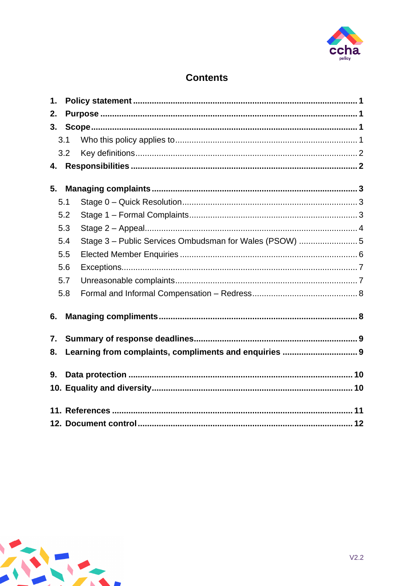

## **Contents**

| 1. |     |                                                         |  |  |  |
|----|-----|---------------------------------------------------------|--|--|--|
| 2. |     |                                                         |  |  |  |
|    | 3.  |                                                         |  |  |  |
|    | 3.1 |                                                         |  |  |  |
|    | 3.2 |                                                         |  |  |  |
|    |     |                                                         |  |  |  |
| 5. |     |                                                         |  |  |  |
|    | 5.1 |                                                         |  |  |  |
|    | 5.2 |                                                         |  |  |  |
|    | 5.3 |                                                         |  |  |  |
|    | 5.4 | Stage 3 - Public Services Ombudsman for Wales (PSOW)  5 |  |  |  |
|    | 5.5 |                                                         |  |  |  |
|    | 5.6 |                                                         |  |  |  |
|    | 5.7 |                                                         |  |  |  |
|    | 5.8 |                                                         |  |  |  |
| 6. |     |                                                         |  |  |  |
| 7. |     |                                                         |  |  |  |
| 8. |     |                                                         |  |  |  |
|    | 9.  |                                                         |  |  |  |
|    |     |                                                         |  |  |  |
|    |     |                                                         |  |  |  |
|    |     |                                                         |  |  |  |

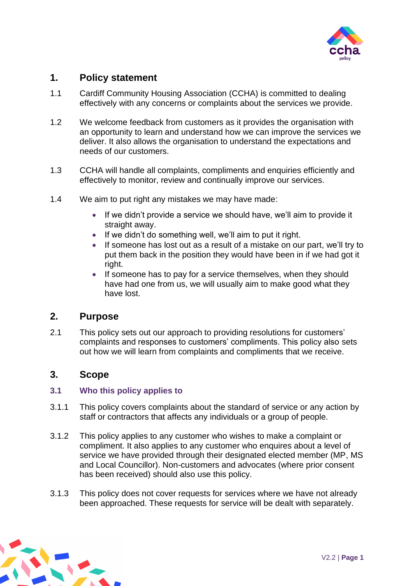

## <span id="page-2-0"></span>**1. Policy statement**

- 1.1 Cardiff Community Housing Association (CCHA) is committed to dealing effectively with any concerns or complaints about the services we provide.
- 1.2 We welcome feedback from customers as it provides the organisation with an opportunity to learn and understand how we can improve the services we deliver. It also allows the organisation to understand the expectations and needs of our customers.
- 1.3 CCHA will handle all complaints, compliments and enquiries efficiently and effectively to monitor, review and continually improve our services.
- 1.4 We aim to put right any mistakes we may have made:
	- If we didn't provide a service we should have, we'll aim to provide it straight away.
	- If we didn't do something well, we'll aim to put it right.
	- If someone has lost out as a result of a mistake on our part, we'll try to put them back in the position they would have been in if we had got it right.
	- If someone has to pay for a service themselves, when they should have had one from us, we will usually aim to make good what they have lost.

## <span id="page-2-1"></span>**2. Purpose**

2.1 This policy sets out our approach to providing resolutions for customers' complaints and responses to customers' compliments. This policy also sets out how we will learn from complaints and compliments that we receive.

## <span id="page-2-2"></span>**3. Scope**

#### <span id="page-2-3"></span>**3.1 Who this policy applies to**

- 3.1.1 This policy covers complaints about the standard of service or any action by staff or contractors that affects any individuals or a group of people.
- 3.1.2 This policy applies to any customer who wishes to make a complaint or compliment. It also applies to any customer who enquires about a level of service we have provided through their designated elected member (MP, MS and Local Councillor). Non-customers and advocates (where prior consent has been received) should also use this policy.
- 3.1.3 This policy does not cover requests for services where we have not already been approached. These requests for service will be dealt with separately.

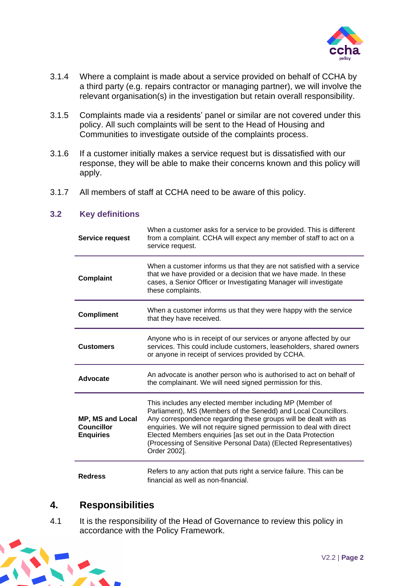

- 3.1.4 Where a complaint is made about a service provided on behalf of CCHA by a third party (e.g. repairs contractor or managing partner), we will involve the relevant organisation(s) in the investigation but retain overall responsibility.
- 3.1.5 Complaints made via a residents' panel or similar are not covered under this policy. All such complaints will be sent to the Head of Housing and Communities to investigate outside of the complaints process.
- 3.1.6 If a customer initially makes a service request but is dissatisfied with our response, they will be able to make their concerns known and this policy will apply.
- <span id="page-3-0"></span>3.1.7 All members of staff at CCHA need to be aware of this policy.

| Service request                                                  | When a customer asks for a service to be provided. This is different<br>from a complaint. CCHA will expect any member of staff to act on a<br>service request.                                                                                                                                                                                                                                                             |  |
|------------------------------------------------------------------|----------------------------------------------------------------------------------------------------------------------------------------------------------------------------------------------------------------------------------------------------------------------------------------------------------------------------------------------------------------------------------------------------------------------------|--|
| <b>Complaint</b>                                                 | When a customer informs us that they are not satisfied with a service<br>that we have provided or a decision that we have made. In these<br>cases, a Senior Officer or Investigating Manager will investigate<br>these complaints.                                                                                                                                                                                         |  |
| <b>Compliment</b>                                                | When a customer informs us that they were happy with the service<br>that they have received.                                                                                                                                                                                                                                                                                                                               |  |
| <b>Customers</b>                                                 | Anyone who is in receipt of our services or anyone affected by our<br>services. This could include customers, leaseholders, shared owners<br>or anyone in receipt of services provided by CCHA.                                                                                                                                                                                                                            |  |
| Advocate                                                         | An advocate is another person who is authorised to act on behalf of<br>the complainant. We will need signed permission for this.                                                                                                                                                                                                                                                                                           |  |
| <b>MP, MS and Local</b><br><b>Councillor</b><br><b>Enquiries</b> | This includes any elected member including MP (Member of<br>Parliament), MS (Members of the Senedd) and Local Councillors.<br>Any correspondence regarding these groups will be dealt with as<br>enquiries. We will not require signed permission to deal with direct<br>Elected Members enquiries [as set out in the Data Protection<br>(Processing of Sensitive Personal Data) (Elected Representatives)<br>Order 2002]. |  |
| <b>Redress</b>                                                   | Refers to any action that puts right a service failure. This can be<br>financial as well as non-financial.                                                                                                                                                                                                                                                                                                                 |  |

#### **3.2 Key definitions**

- <span id="page-3-1"></span>**4. Responsibilities**
- 4.1 It is the responsibility of the Head of Governance to review this policy in accordance with the Policy Framework.

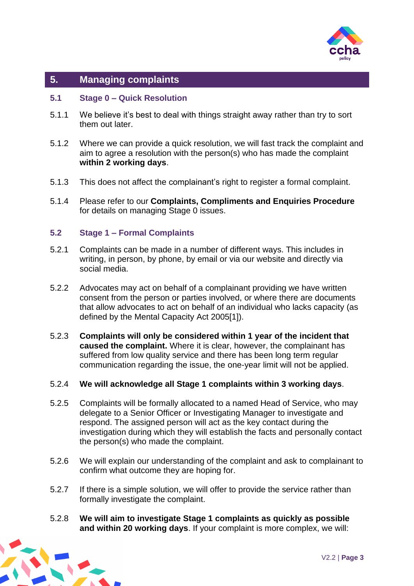

## <span id="page-4-0"></span>**5. Managing complaints**

#### <span id="page-4-1"></span>**5.1 Stage 0 – Quick Resolution**

- 5.1.1 We believe it's best to deal with things straight away rather than try to sort them out later.
- 5.1.2 Where we can provide a quick resolution, we will fast track the complaint and aim to agree a resolution with the person(s) who has made the complaint **within 2 working days**.
- 5.1.3 This does not affect the complainant's right to register a formal complaint.
- 5.1.4 Please refer to our **Complaints, Compliments and Enquiries Procedure** for details on managing Stage 0 issues.

#### <span id="page-4-2"></span>**5.2 Stage 1 – Formal Complaints**

- 5.2.1 Complaints can be made in a number of different ways. This includes in writing, in person, by phone, by email or via our website and directly via social media.
- 5.2.2 Advocates may act on behalf of a complainant providing we have written consent from the person or parties involved, or where there are documents that allow advocates to act on behalf of an individual who lacks capacity (as defined by the Mental Capacity Act 2005[1]).
- 5.2.3 **Complaints will only be considered within 1 year of the incident that caused the complaint.** Where it is clear, however, the complainant has suffered from low quality service and there has been long term regular communication regarding the issue, the one-year limit will not be applied.

#### 5.2.4 **We will acknowledge all Stage 1 complaints within 3 working days**.

- 5.2.5 Complaints will be formally allocated to a named Head of Service, who may delegate to a Senior Officer or Investigating Manager to investigate and respond. The assigned person will act as the key contact during the investigation during which they will establish the facts and personally contact the person(s) who made the complaint.
- 5.2.6 We will explain our understanding of the complaint and ask to complainant to confirm what outcome they are hoping for.
- 5.2.7 If there is a simple solution, we will offer to provide the service rather than formally investigate the complaint.
- 5.2.8 **We will aim to investigate Stage 1 complaints as quickly as possible and within 20 working days**. If your complaint is more complex, we will:

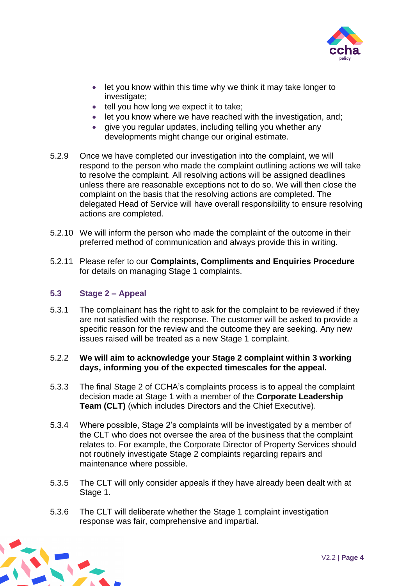

- let you know within this time why we think it may take longer to investigate;
- tell you how long we expect it to take;
- let you know where we have reached with the investigation, and;
- give you regular updates, including telling you whether any developments might change our original estimate.
- 5.2.9 Once we have completed our investigation into the complaint, we will respond to the person who made the complaint outlining actions we will take to resolve the complaint. All resolving actions will be assigned deadlines unless there are reasonable exceptions not to do so. We will then close the complaint on the basis that the resolving actions are completed. The delegated Head of Service will have overall responsibility to ensure resolving actions are completed.
- 5.2.10 We will inform the person who made the complaint of the outcome in their preferred method of communication and always provide this in writing.
- 5.2.11 Please refer to our **Complaints, Compliments and Enquiries Procedure**  for details on managing Stage 1 complaints.

#### <span id="page-5-0"></span>**5.3 Stage 2 – Appeal**

5.3.1 The complainant has the right to ask for the complaint to be reviewed if they are not satisfied with the response. The customer will be asked to provide a specific reason for the review and the outcome they are seeking. Any new issues raised will be treated as a new Stage 1 complaint.

#### 5.2.2 **We will aim to acknowledge your Stage 2 complaint within 3 working days, informing you of the expected timescales for the appeal.**

- 5.3.3 The final Stage 2 of CCHA's complaints process is to appeal the complaint decision made at Stage 1 with a member of the **Corporate Leadership Team (CLT)** (which includes Directors and the Chief Executive).
- 5.3.4 Where possible, Stage 2's complaints will be investigated by a member of the CLT who does not oversee the area of the business that the complaint relates to. For example, the Corporate Director of Property Services should not routinely investigate Stage 2 complaints regarding repairs and maintenance where possible.
- 5.3.5 The CLT will only consider appeals if they have already been dealt with at Stage 1.
- 5.3.6 The CLT will deliberate whether the Stage 1 complaint investigation response was fair, comprehensive and impartial.

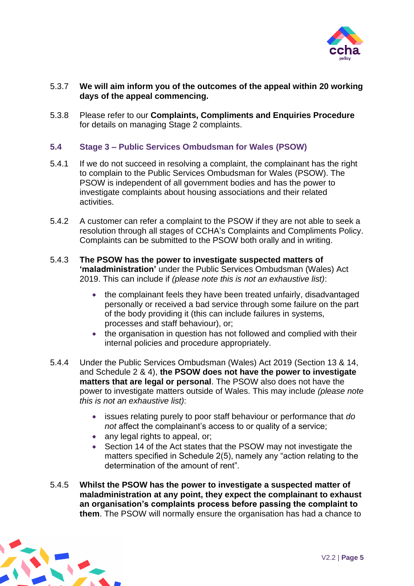

- 5.3.7 **We will aim inform you of the outcomes of the appeal within 20 working days of the appeal commencing.**
- 5.3.8 Please refer to our **Complaints, Compliments and Enquiries Procedure**  for details on managing Stage 2 complaints.

#### <span id="page-6-0"></span>**5.4 Stage 3 – Public Services Ombudsman for Wales (PSOW)**

- 5.4.1 If we do not succeed in resolving a complaint, the complainant has the right to complain to the Public Services Ombudsman for Wales (PSOW). The PSOW is independent of all government bodies and has the power to investigate complaints about housing associations and their related activities.
- 5.4.2 A customer can refer a complaint to the PSOW if they are not able to seek a resolution through all stages of CCHA's Complaints and Compliments Policy. Complaints can be submitted to the PSOW both orally and in writing.
- 5.4.3 **The PSOW has the power to investigate suspected matters of 'maladministration'** under the Public Services Ombudsman (Wales) Act 2019. This can include if *(please note this is not an exhaustive list)*:
	- the complainant feels they have been treated unfairly, disadvantaged personally or received a bad service through some failure on the part of the body providing it (this can include failures in systems, processes and staff behaviour), or;
	- the organisation in question has not followed and complied with their internal policies and procedure appropriately.
- 5.4.4 Under the Public Services Ombudsman (Wales) Act 2019 (Section 13 & 14, and Schedule 2 & 4), **the PSOW does not have the power to investigate matters that are legal or personal**. The PSOW also does not have the power to investigate matters outside of Wales. This may include *(please note this is not an exhaustive list)*:
	- issues relating purely to poor staff behaviour or performance that *do not* affect the complainant's access to or quality of a service;
	- any legal rights to appeal, or;
	- Section 14 of the Act states that the PSOW may not investigate the matters specified in Schedule 2(5), namely any "action relating to the determination of the amount of rent".
- 5.4.5 **Whilst the PSOW has the power to investigate a suspected matter of maladministration at any point, they expect the complainant to exhaust an organisation's complaints process before passing the complaint to them**. The PSOW will normally ensure the organisation has had a chance to

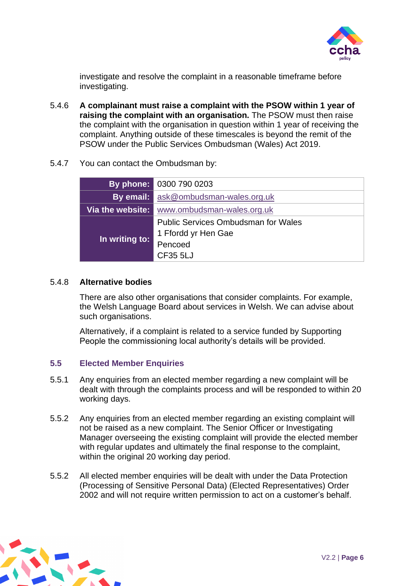

investigate and resolve the complaint in a reasonable timeframe before investigating.

- 5.4.6 **A complainant must raise a complaint with the PSOW within 1 year of raising the complaint with an organisation.** The PSOW must then raise the complaint with the organisation in question within 1 year of receiving the complaint. Anything outside of these timescales is beyond the remit of the PSOW under the Public Services Ombudsman (Wales) Act 2019.
- 5.4.7 You can contact the Ombudsman by:

|                         | By phone: 0300 790 0203                    |
|-------------------------|--------------------------------------------|
| <b>By email:</b>        | ask@ombudsman-wales.org.uk                 |
| <b>Via the website:</b> | www.ombudsman-wales.org.uk                 |
|                         | <b>Public Services Ombudsman for Wales</b> |
| In writing to:          | 1 Ffordd yr Hen Gae                        |
|                         | Pencoed                                    |
|                         | <b>CF35 5LJ</b>                            |

#### 5.4.8 **Alternative bodies**

There are also other organisations that consider complaints. For example, the Welsh Language Board about services in Welsh. We can advise about such organisations.

Alternatively, if a complaint is related to a service funded by Supporting People the commissioning local authority's details will be provided.

#### <span id="page-7-0"></span>**5.5 Elected Member Enquiries**

- 5.5.1 Any enquiries from an elected member regarding a new complaint will be dealt with through the complaints process and will be responded to within 20 working days.
- 5.5.2 Any enquiries from an elected member regarding an existing complaint will not be raised as a new complaint. The Senior Officer or Investigating Manager overseeing the existing complaint will provide the elected member with regular updates and ultimately the final response to the complaint, within the original 20 working day period.
- 5.5.2 All elected member enquiries will be dealt with under the Data Protection (Processing of Sensitive Personal Data) (Elected Representatives) Order 2002 and will not require written permission to act on a customer's behalf.

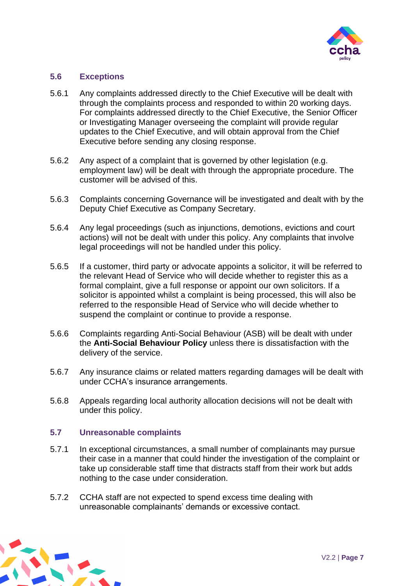

#### <span id="page-8-0"></span>**5.6 Exceptions**

- 5.6.1 Any complaints addressed directly to the Chief Executive will be dealt with through the complaints process and responded to within 20 working days. For complaints addressed directly to the Chief Executive, the Senior Officer or Investigating Manager overseeing the complaint will provide regular updates to the Chief Executive, and will obtain approval from the Chief Executive before sending any closing response.
- 5.6.2 Any aspect of a complaint that is governed by other legislation (e.g. employment law) will be dealt with through the appropriate procedure. The customer will be advised of this.
- 5.6.3 Complaints concerning Governance will be investigated and dealt with by the Deputy Chief Executive as Company Secretary.
- 5.6.4 Any legal proceedings (such as injunctions, demotions, evictions and court actions) will not be dealt with under this policy. Any complaints that involve legal proceedings will not be handled under this policy.
- 5.6.5 If a customer, third party or advocate appoints a solicitor, it will be referred to the relevant Head of Service who will decide whether to register this as a formal complaint, give a full response or appoint our own solicitors. If a solicitor is appointed whilst a complaint is being processed, this will also be referred to the responsible Head of Service who will decide whether to suspend the complaint or continue to provide a response.
- 5.6.6 Complaints regarding Anti-Social Behaviour (ASB) will be dealt with under the **Anti-Social Behaviour Policy** unless there is dissatisfaction with the delivery of the service.
- 5.6.7 Any insurance claims or related matters regarding damages will be dealt with under CCHA's insurance arrangements.
- 5.6.8 Appeals regarding local authority allocation decisions will not be dealt with under this policy.

#### <span id="page-8-1"></span>**5.7 Unreasonable complaints**

- 5.7.1 In exceptional circumstances, a small number of complainants may pursue their case in a manner that could hinder the investigation of the complaint or take up considerable staff time that distracts staff from their work but adds nothing to the case under consideration.
- 5.7.2 CCHA staff are not expected to spend excess time dealing with unreasonable complainants' demands or excessive contact.

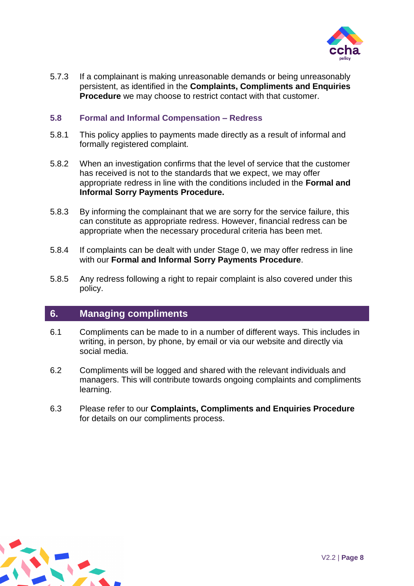

5.7.3 If a complainant is making unreasonable demands or being unreasonably persistent, as identified in the **Complaints, Compliments and Enquiries Procedure** we may choose to restrict contact with that customer.

#### <span id="page-9-0"></span>**5.8 Formal and Informal Compensation – Redress**

- 5.8.1 This policy applies to payments made directly as a result of informal and formally registered complaint.
- 5.8.2 When an investigation confirms that the level of service that the customer has received is not to the standards that we expect, we may offer appropriate redress in line with the conditions included in the **Formal and Informal Sorry Payments Procedure.**
- 5.8.3 By informing the complainant that we are sorry for the service failure, this can constitute as appropriate redress. However, financial redress can be appropriate when the necessary procedural criteria has been met.
- 5.8.4 If complaints can be dealt with under Stage 0, we may offer redress in line with our **Formal and Informal Sorry Payments Procedure**.
- 5.8.5 Any redress following a right to repair complaint is also covered under this policy.

## <span id="page-9-1"></span>**6. Managing compliments**

- 6.1 Compliments can be made to in a number of different ways. This includes in writing, in person, by phone, by email or via our website and directly via social media.
- 6.2 Compliments will be logged and shared with the relevant individuals and managers. This will contribute towards ongoing complaints and compliments learning.
- 6.3 Please refer to our **Complaints, Compliments and Enquiries Procedure**  for details on our compliments process.

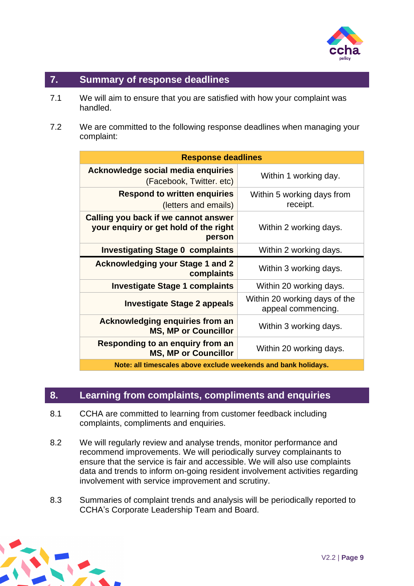

## <span id="page-10-0"></span>**7. Summary of response deadlines**

- 7.1 We will aim to ensure that you are satisfied with how your complaint was handled.
- 7.2 We are committed to the following response deadlines when managing your complaint:

| <b>Response deadlines</b>                                                               |                                                     |  |
|-----------------------------------------------------------------------------------------|-----------------------------------------------------|--|
| Acknowledge social media enquiries<br>(Facebook, Twitter. etc)                          | Within 1 working day.                               |  |
| <b>Respond to written enquiries</b><br>(letters and emails)                             | Within 5 working days from<br>receipt.              |  |
| Calling you back if we cannot answer<br>your enquiry or get hold of the right<br>person | Within 2 working days.                              |  |
| <b>Investigating Stage 0 complaints</b>                                                 | Within 2 working days.                              |  |
| <b>Acknowledging your Stage 1 and 2</b><br>complaints                                   | Within 3 working days.                              |  |
| <b>Investigate Stage 1 complaints</b>                                                   | Within 20 working days.                             |  |
| <b>Investigate Stage 2 appeals</b>                                                      | Within 20 working days of the<br>appeal commencing. |  |
| Acknowledging enquiries from an<br><b>MS, MP or Councillor</b>                          | Within 3 working days.                              |  |
| Responding to an enquiry from an<br><b>MS, MP or Councillor</b>                         | Within 20 working days.                             |  |
| Note: all timescales above exclude weekends and bank holidays.                          |                                                     |  |

## <span id="page-10-1"></span>**8. Learning from complaints, compliments and enquiries**

- 8.1 CCHA are committed to learning from customer feedback including complaints, compliments and enquiries.
- 8.2 We will regularly review and analyse trends, monitor performance and recommend improvements. We will periodically survey complainants to ensure that the service is fair and accessible. We will also use complaints data and trends to inform on-going resident involvement activities regarding involvement with service improvement and scrutiny.
- 8.3 Summaries of complaint trends and analysis will be periodically reported to CCHA's Corporate Leadership Team and Board.

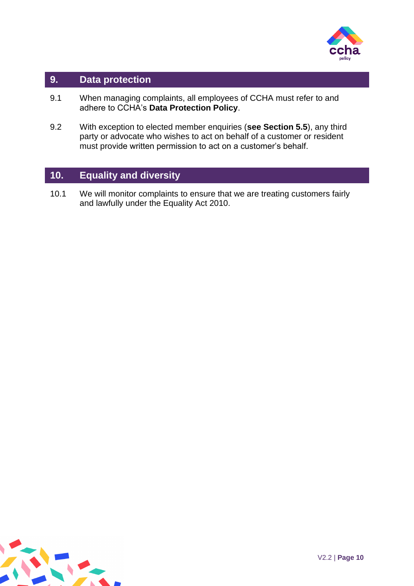

## <span id="page-11-0"></span>**9. Data protection**

- 9.1 When managing complaints, all employees of CCHA must refer to and adhere to CCHA's **Data Protection Policy**.
- 9.2 With exception to elected member enquiries (**see Section 5.5**), any third party or advocate who wishes to act on behalf of a customer or resident must provide written permission to act on a customer's behalf.

## <span id="page-11-1"></span>**10. Equality and diversity**

10.1 We will monitor complaints to ensure that we are treating customers fairly and lawfully under the Equality Act 2010.

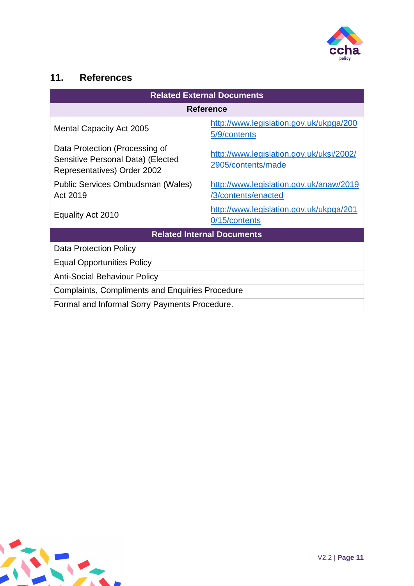

# <span id="page-12-0"></span>**11. References**

<span id="page-12-1"></span>

| <b>Related External Documents</b>                                                                  |                                                                |  |  |  |
|----------------------------------------------------------------------------------------------------|----------------------------------------------------------------|--|--|--|
| <b>Reference</b>                                                                                   |                                                                |  |  |  |
| <b>Mental Capacity Act 2005</b>                                                                    | http://www.legislation.gov.uk/ukpga/200<br>5/9/contents        |  |  |  |
| Data Protection (Processing of<br>Sensitive Personal Data) (Elected<br>Representatives) Order 2002 | http://www.legislation.gov.uk/uksi/2002/<br>2905/contents/made |  |  |  |
| Public Services Ombudsman (Wales)<br>Act 2019                                                      | http://www.legislation.gov.uk/anaw/2019<br>/3/contents/enacted |  |  |  |
| Equality Act 2010                                                                                  | http://www.legislation.gov.uk/ukpga/201<br>0/15/contents       |  |  |  |
| <b>Related Internal Documents</b>                                                                  |                                                                |  |  |  |
| Data Protection Policy                                                                             |                                                                |  |  |  |
| <b>Equal Opportunities Policy</b>                                                                  |                                                                |  |  |  |
| <b>Anti-Social Behaviour Policy</b>                                                                |                                                                |  |  |  |
| <b>Complaints, Compliments and Enquiries Procedure</b>                                             |                                                                |  |  |  |
| Formal and Informal Sorry Payments Procedure.                                                      |                                                                |  |  |  |